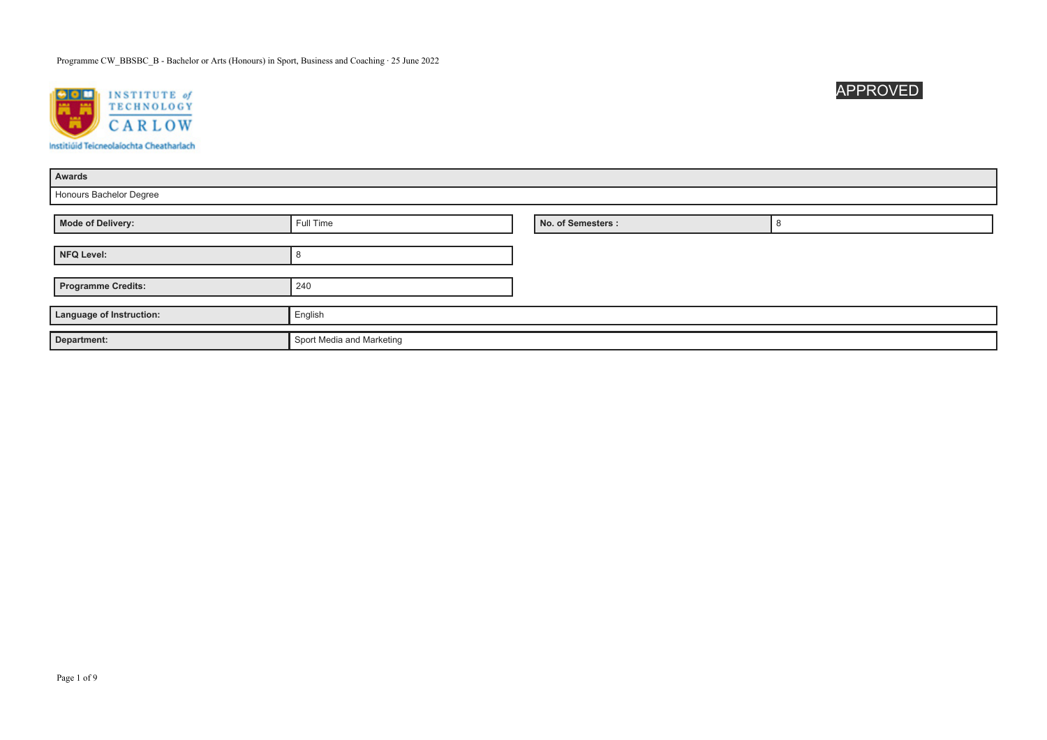

| Awards                    |                           |  |                    |  |
|---------------------------|---------------------------|--|--------------------|--|
| Honours Bachelor Degree   |                           |  |                    |  |
|                           |                           |  |                    |  |
| Mode of Delivery:         | Full Time                 |  | No. of Semesters : |  |
|                           |                           |  |                    |  |
| NFQ Level:                |                           |  |                    |  |
|                           |                           |  |                    |  |
| <b>Programme Credits:</b> | 240                       |  |                    |  |
|                           |                           |  |                    |  |
| Language of Instruction:  | English                   |  |                    |  |
| Department:               | Sport Media and Marketing |  |                    |  |

APPROVED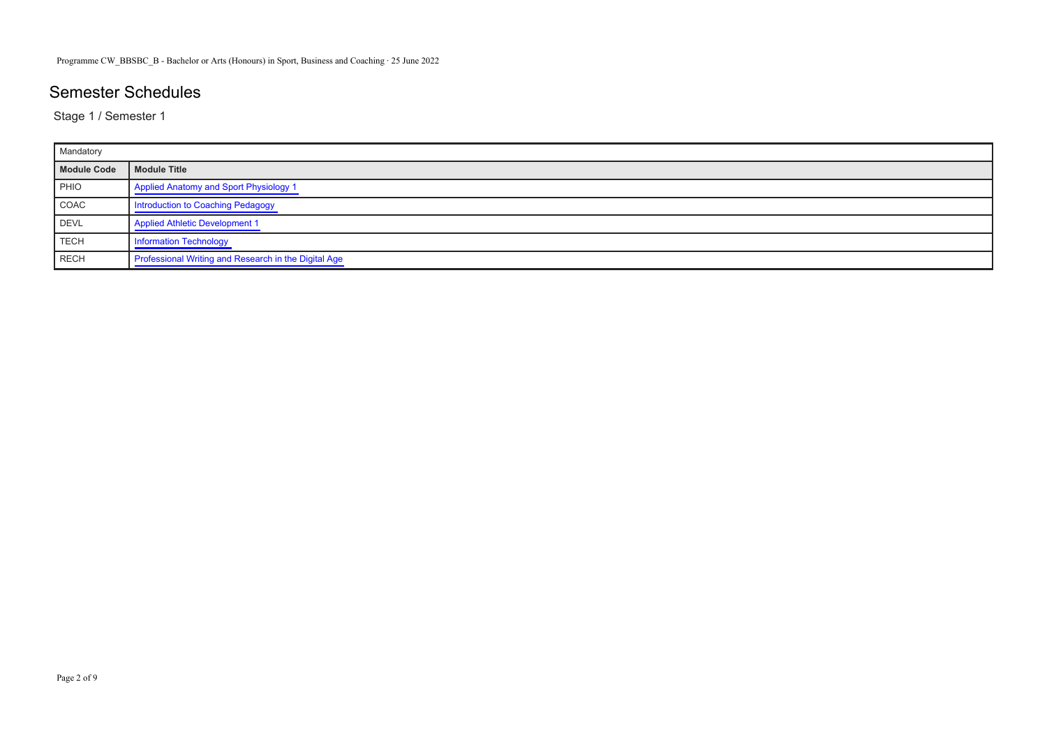# Semester Schedules

Stage 1 / Semester 1

| Mandatory   |                                                      |
|-------------|------------------------------------------------------|
| Module Code | Module Title                                         |
| PHO         | Applied Anatomy and Sport Physiology 1               |
| COAC        | Introduction to Coaching Pedagogy                    |
| DEVL        | Applied Athletic Development 1                       |
| <b>TECH</b> | <b>Information Technology</b>                        |
| RECH        | Professional Writing and Research in the Digital Age |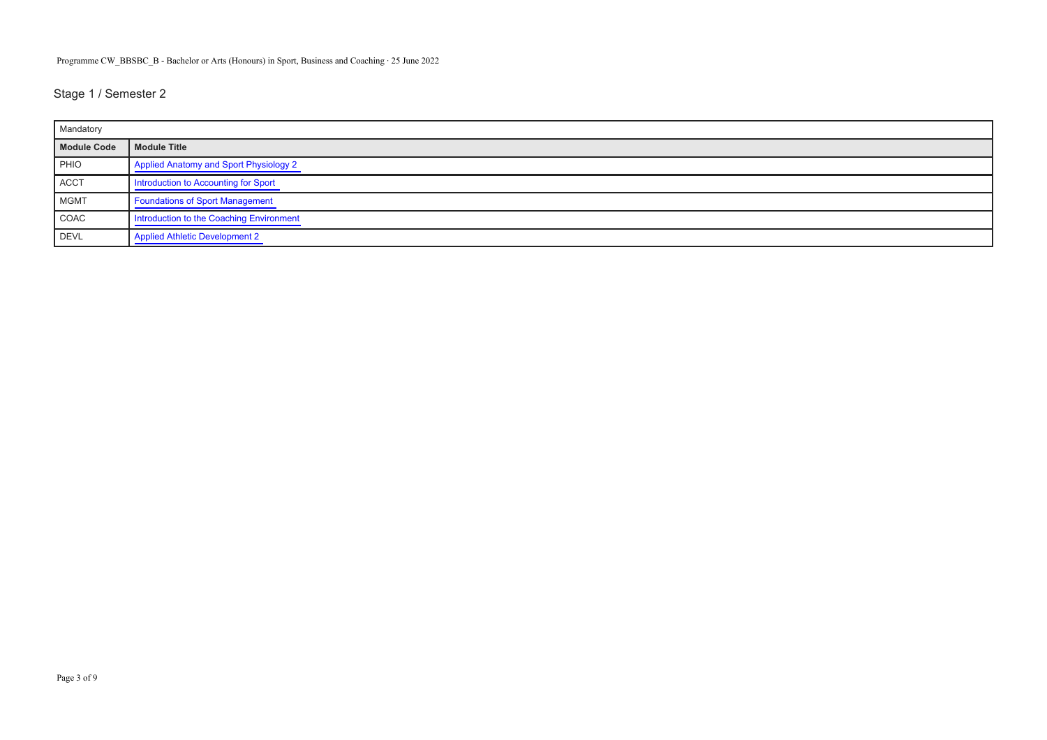## Stage 1 / Semester 2

| Mandatory                     |                                          |  |
|-------------------------------|------------------------------------------|--|
| Module Code                   | Module Title                             |  |
| <b>PHIO</b>                   | Applied Anatomy and Sport Physiology 2   |  |
| ACCT                          | Introduction to Accounting for Sport     |  |
| MGMT                          | Foundations of Sport Management          |  |
| $\overline{\phantom{a}}$ COAC | Introduction to the Coaching Environment |  |
| DEVL                          | Applied Athletic Development 2           |  |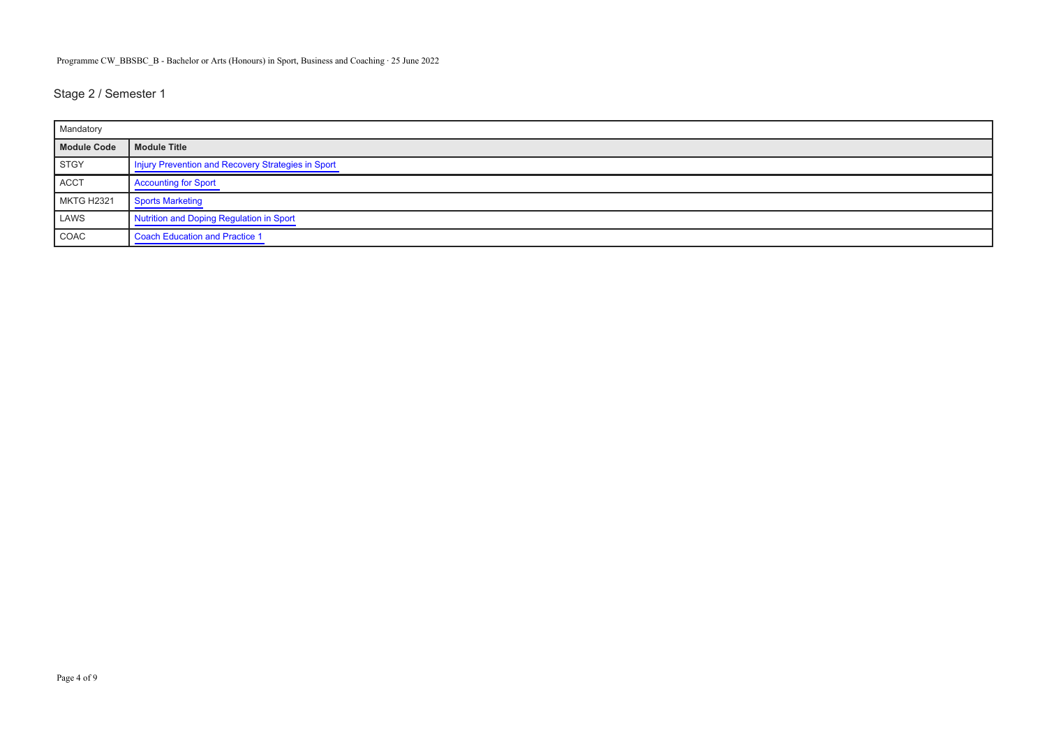## Stage 2 / Semester 1

| Mandatory   |                                                    |  |
|-------------|----------------------------------------------------|--|
| Module Code | Module Title                                       |  |
| STGY        | Injury Prevention and Recovery Strategies in Sport |  |
| ACCT        | <b>Accounting for Sport</b>                        |  |
| MKTG H2321  | Sports Marketing                                   |  |
| LAWS        | Nutrition and Doping Regulation in Sport           |  |
| COAC        | Coach Education and Practice 1                     |  |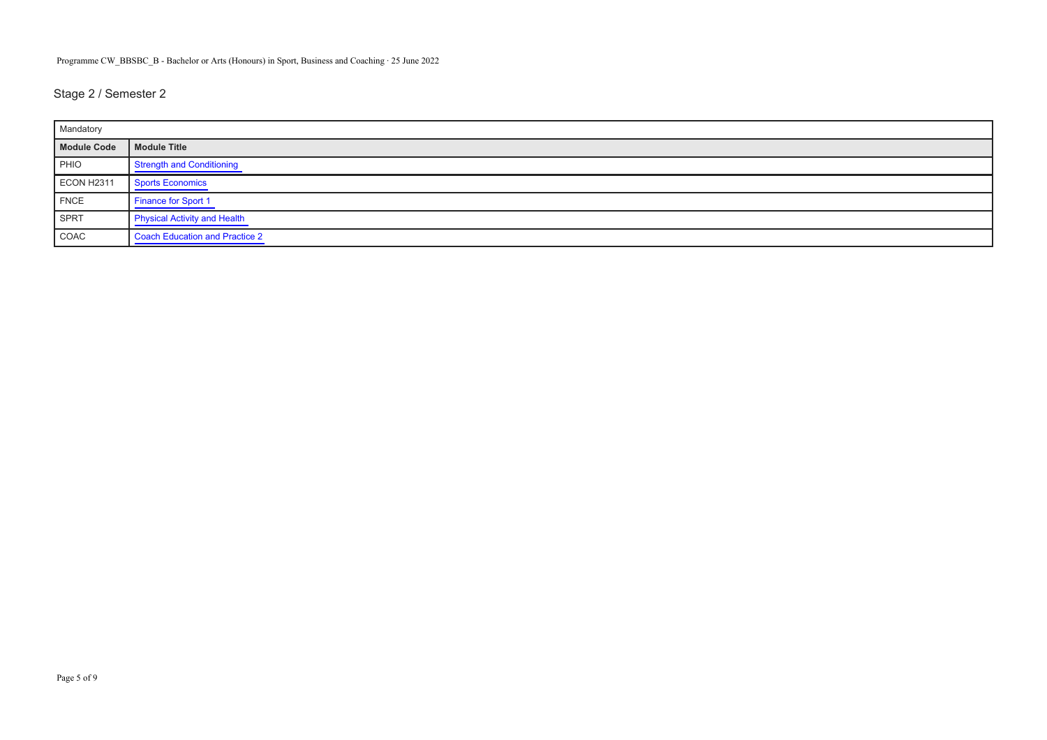## Stage 2 / Semester 2

| Mandatory   |                                     |  |
|-------------|-------------------------------------|--|
| Module Code | Module Title                        |  |
| PHIO        | <b>Strength and Conditioning</b>    |  |
| ECON H2311  | Sports Economics                    |  |
| FNCE        | Finance for Sport 1                 |  |
| SPRT        | <b>Physical Activity and Health</b> |  |
| COAC        | Coach Education and Practice 2      |  |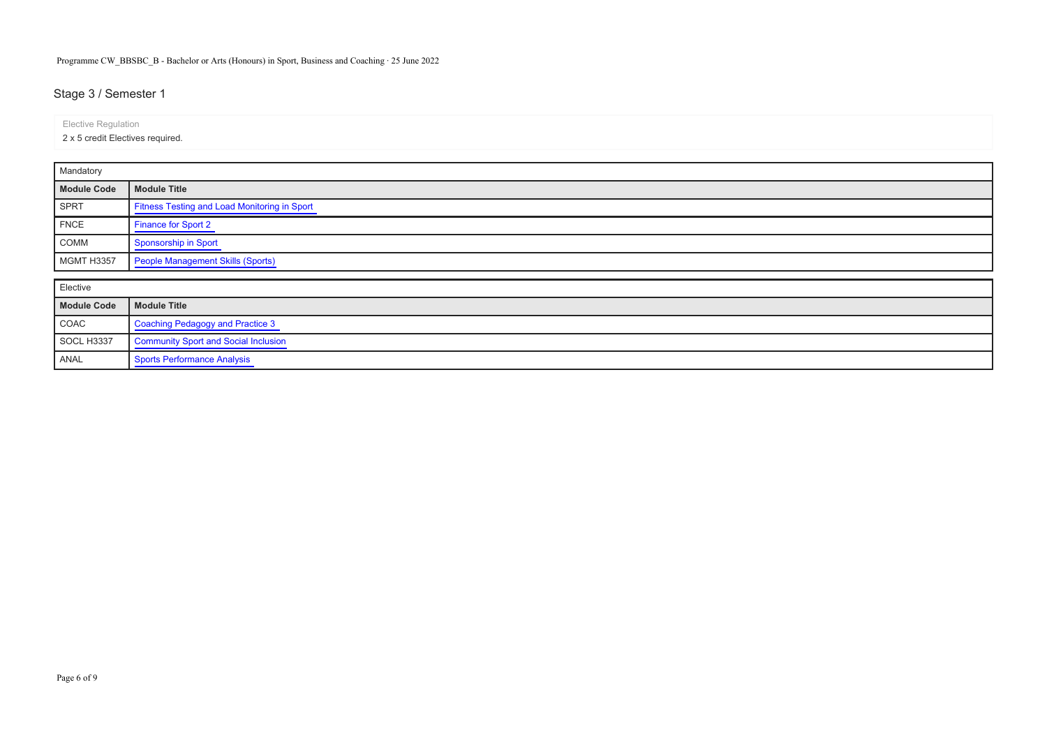## Stage 3 / Semester 1

Elective Regulation

2 x 5 credit Electives required.

| Mandatory   |                                              |
|-------------|----------------------------------------------|
| Module Code | Module Title                                 |
| SPRT        | Fitness Testing and Load Monitoring in Sport |
| FNCE        | Finance for Sport 2                          |
| COMM        | Sponsorship in Sport                         |
| MGMT H3357  | <b>People Management Skills (Sports)</b>     |

| Elective                   |                                             |  |
|----------------------------|---------------------------------------------|--|
| Module Code   Module Title |                                             |  |
| COAC                       | Coaching Pedagogy and Practice 3            |  |
| SOCL H3337                 | <b>Community Sport and Social Inclusion</b> |  |
| ANAL                       | Sports Performance Analysis                 |  |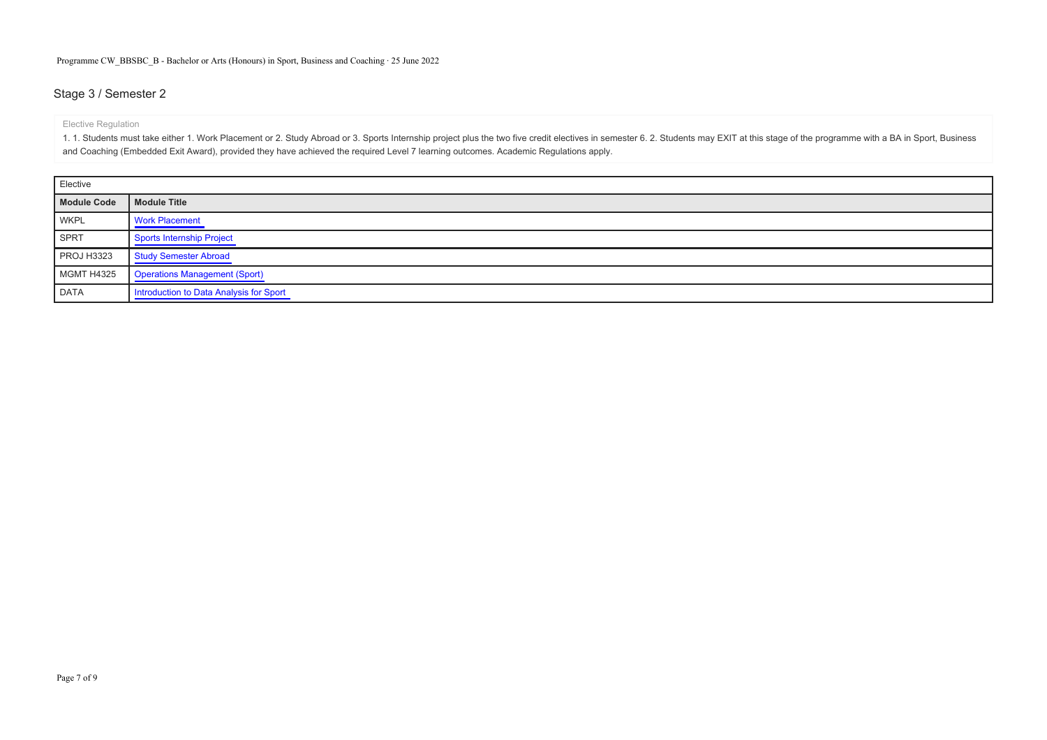#### Stage 3 / Semester 2

Elective Regulation

1. 1. Students must take either 1. Work Placement or 2. Study Abroad or 3. Sports Internship project plus the two five credit electives in semester 6. 2. Students may EXIT at this stage of the programme with a BA in Sport, and Coaching (Embedded Exit Award), provided they have achieved the required Level 7 learning outcomes. Academic Regulations apply.

| Elective          |                                         |  |
|-------------------|-----------------------------------------|--|
| Module Code       | <b>Module Title</b>                     |  |
| <b>WKPL</b>       | <b>Work Placement</b>                   |  |
| <b>SPRT</b>       | <b>Sports Internship Project</b>        |  |
| <b>PROJ H3323</b> | <b>Study Semester Abroad</b>            |  |
| MGMT H4325        | <b>Operations Management (Sport)</b>    |  |
| <b>DATA</b>       | Introduction to Data Analysis for Sport |  |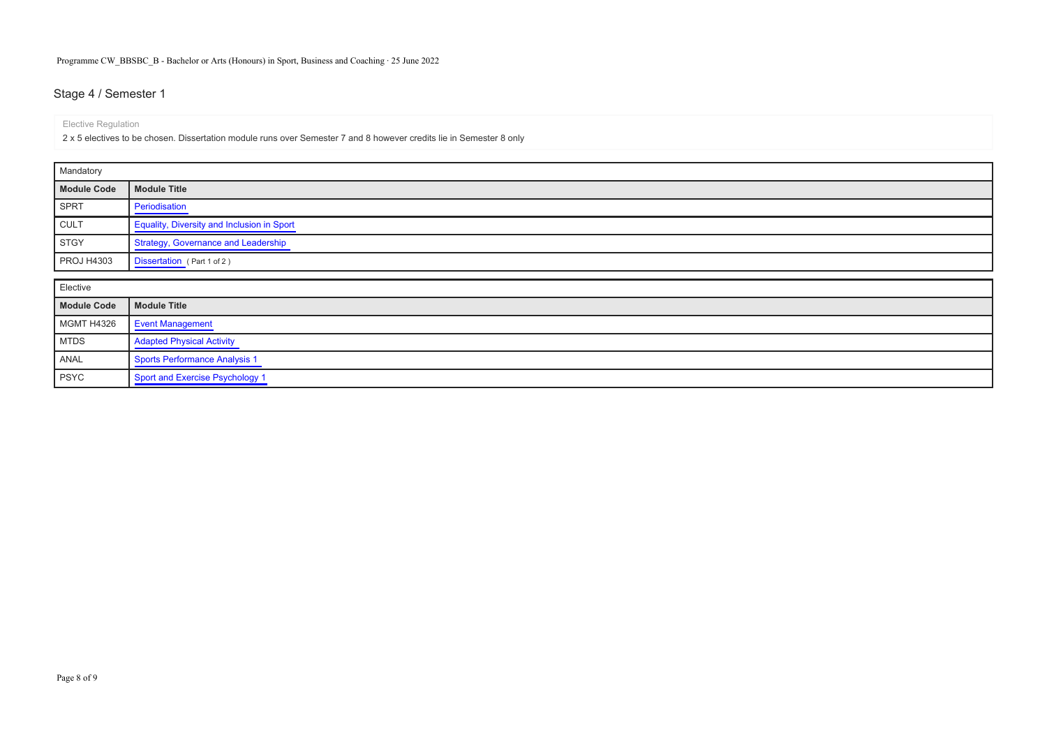## Stage 4 / Semester 1

Elective Regulation

2 x 5 electives to be chosen. Dissertation module runs over Semester 7 and 8 however credits lie in Semester 8 only

| Mandatory                           |                                            |  |
|-------------------------------------|--------------------------------------------|--|
| Module Code                         | Module Title                               |  |
| SPRT                                | Periodisation                              |  |
| $\overline{\overline{\text{CULT}}}$ | Equality, Diversity and Inclusion in Sport |  |
| STGY                                | Strategy, Governance and Leadership        |  |
| <b>PROJ H4303</b>                   | Dissertation (Part 1 of 2)                 |  |

| Elective    |                                  |  |
|-------------|----------------------------------|--|
| Module Code | Module Title                     |  |
| MGMT H4326  | <b>Event Management</b>          |  |
| MTDS        | <b>Adapted Physical Activity</b> |  |
| ANAL        | Sports Performance Analysis 1    |  |
| PSYC        | Sport and Exercise Psychology 1  |  |